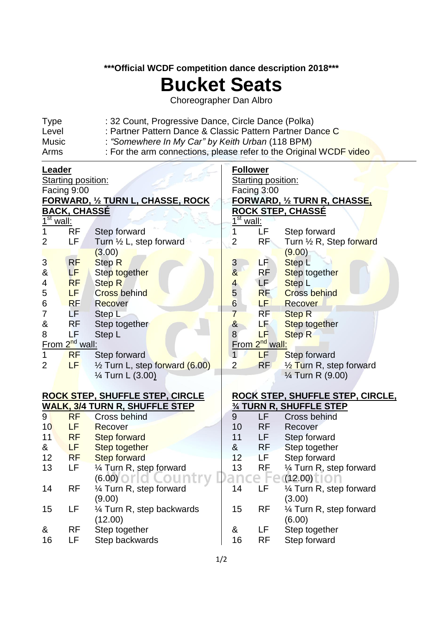## **\*\*\*Official WCDF competition dance description 2018\*\*\***

## **Bucket Seats**

Choreographer Dan Albro

| <b>Type</b> | : 32 Count, Progressive Dance, Circle Dance (Polka)                |
|-------------|--------------------------------------------------------------------|
| Level       | : Partner Pattern Dance & Classic Pattern Partner Dance C          |
| Music       | : "Somewhere In My Car" by Keith Urban (118 BPM)                   |
| Arms        | : For the arm connections, please refer to the Original WCDF video |

| <u>Leader</u>                          |           |                                        |                                   | <b>Follower</b>    |                                      |  |  |  |  |  |
|----------------------------------------|-----------|----------------------------------------|-----------------------------------|--------------------|--------------------------------------|--|--|--|--|--|
| Starting position:                     |           |                                        |                                   | Starting position: |                                      |  |  |  |  |  |
| Facing 9:00                            |           |                                        | Facing 3:00                       |                    |                                      |  |  |  |  |  |
| <u>FORWARD, ½ TURN L, CHASSE, ROCK</u> |           |                                        | <u>FORWARD, ½ TURN R, CHASSE,</u> |                    |                                      |  |  |  |  |  |
| <u>BACK, CHASSÉ</u>                    |           |                                        | <u>ROCK STEP, CHASSE</u>          |                    |                                      |  |  |  |  |  |
| $\overline{1^{\text{st}}}$<br>wall:    |           |                                        | $1st$ wall:                       |                    |                                      |  |  |  |  |  |
|                                        | <b>RF</b> | Step forward                           | 1                                 | LF                 | Step forward                         |  |  |  |  |  |
| 2                                      | LF        | Turn 1/2 L, step forward               | $\overline{2}$                    | <b>RF</b>          | Turn 1/2 R, Step forward             |  |  |  |  |  |
|                                        |           | (3.00)                                 |                                   |                    | (9.00)                               |  |  |  |  |  |
| $\mathbf{3}$                           | RF        | <b>Step R</b>                          |                                   | LF.                | Step <sub>L</sub>                    |  |  |  |  |  |
| &                                      | LF        | Step together                          | $\frac{3}{8}$                     | <b>RF</b>          | Step together                        |  |  |  |  |  |
| 4                                      | <b>RF</b> | <b>Step R</b>                          | $\overline{\mathcal{A}}$          | <b>LF</b>          | <b>Step L</b>                        |  |  |  |  |  |
| 5                                      | LF.       | <b>Cross behind</b>                    | 5                                 | <b>RF</b>          | <b>Cross behind</b>                  |  |  |  |  |  |
| 6                                      | <b>RF</b> | Recover                                | 6                                 | LF.                | <b>Recover</b>                       |  |  |  |  |  |
| $\overline{7}$                         | LF.       | Step L                                 | $\overline{7}$                    | <b>RF</b>          | <b>Step R</b>                        |  |  |  |  |  |
| &                                      | RF        | Step together                          | $\alpha$                          | LF.                | <b>Step together</b>                 |  |  |  |  |  |
| 8                                      | LF        | Step L                                 | 8                                 | LF                 | <b>Step R</b>                        |  |  |  |  |  |
| From 2 <sup>nd</sup> wall:             |           | From 2 <sup>nd</sup> wall:             |                                   |                    |                                      |  |  |  |  |  |
| 1                                      | <b>RF</b> | Step forward                           | $\mathbf{1}$                      | LF                 | <b>Step forward</b>                  |  |  |  |  |  |
| $\overline{2}$                         | LF        | 1/2 Turn L, step forward (6.00)        | $\overline{2}$                    | <b>RF</b>          | 1/ <sub>2</sub> Turn R, step forward |  |  |  |  |  |
|                                        |           | 1/ <sub>4</sub> Turn L (3.00)          |                                   |                    | $\frac{1}{4}$ Turn R (9.00)          |  |  |  |  |  |
|                                        |           |                                        |                                   |                    |                                      |  |  |  |  |  |
|                                        |           | <u>ROCK STEP, SHUFFLE STEP, CIRCLE</u> |                                   |                    | ROCK STEP, SHUFFLE STEP, CIRCLE,     |  |  |  |  |  |
|                                        |           | <u>WALK, 3/4 TURN R, SHUFFLE STEP</u>  |                                   |                    | <b>34 TURN R, SHUFFLE STEP</b>       |  |  |  |  |  |
| 9                                      | <b>RF</b> | Cross behind                           | 9                                 | LF                 | <b>Cross behind</b>                  |  |  |  |  |  |
| 10                                     | LF        | Recover                                | 10                                | <b>RF</b>          | Recover                              |  |  |  |  |  |
| 11                                     | <b>RF</b> | <b>Step forward</b>                    | 11                                | LF                 | Step forward                         |  |  |  |  |  |
| &                                      | LF.       | Step together                          | &                                 | <b>RF</b>          | Step together                        |  |  |  |  |  |
| 12                                     | <b>RF</b> | <b>Step forward</b>                    | 12                                | LF                 | Step forward                         |  |  |  |  |  |
| 13                                     | LF        | 1⁄4 Turn R, step forward               | 13                                | <b>RF</b>          | 1⁄4 Turn R, step forward             |  |  |  |  |  |
|                                        |           | (6.00)                                 |                                   |                    | (12.00)                              |  |  |  |  |  |
| 14                                     | <b>RF</b> | 1/4 Turn R, step forward               | 14                                | LF                 | 1⁄4 Turn R, step forward             |  |  |  |  |  |
|                                        |           | (9.00)                                 |                                   |                    | (3.00)                               |  |  |  |  |  |
| 15                                     | LF        | 1/4 Turn R, step backwards             | 15                                | <b>RF</b>          | 1⁄4 Turn R, step forward             |  |  |  |  |  |
|                                        |           | (12.00)                                |                                   |                    | (6.00)                               |  |  |  |  |  |
| &                                      | <b>RF</b> | Step together                          | &                                 | LF                 | Step together                        |  |  |  |  |  |
| 16                                     | LF        | Step backwards                         | 16                                | <b>RF</b>          | Step forward                         |  |  |  |  |  |
|                                        |           |                                        |                                   |                    |                                      |  |  |  |  |  |